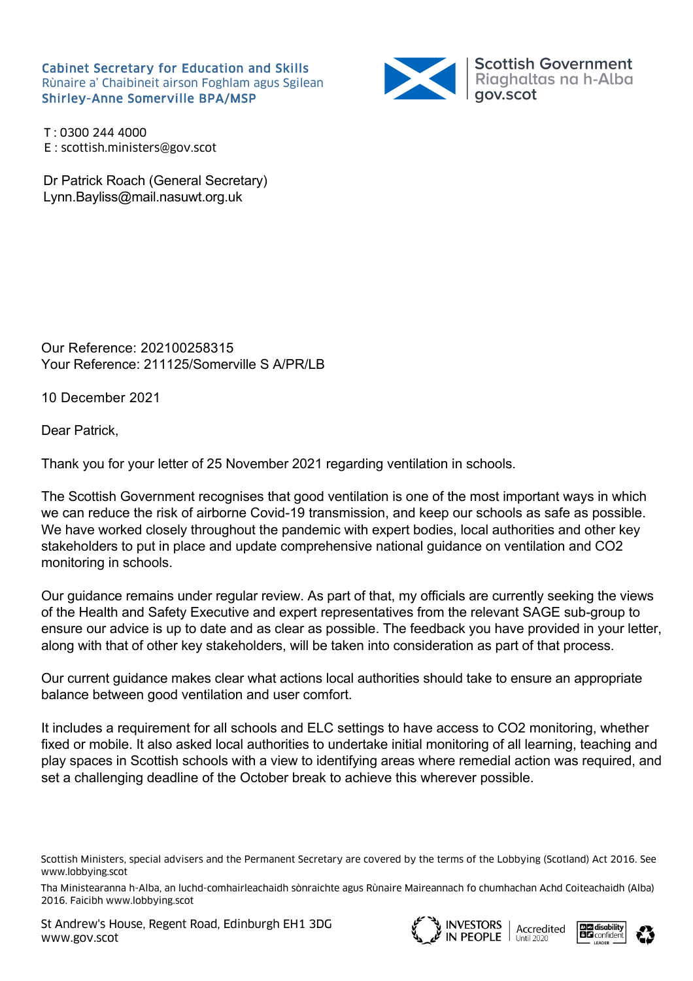Cabinet Secretary for Education and Skills Rùnaire a' Chaibineit airson Foghlam agus Sgilean



T : 0300 244 4000 E : scottish.ministers@gov.scot

Dr Patrick Roach (General Secretary) Lynn.Bayliss@mail.nasuwt.org.uk

Our Reference: 202100258315 Your Reference: 211125/Somerville S A/PR/LB

10 December 2021

Dear Patrick,

Thank you for your letter of 25 November 2021 regarding ventilation in schools.

The Scottish Government recognises that good ventilation is one of the most important ways in which we can reduce the risk of airborne Covid-19 transmission, and keep our schools as safe as possible. We have worked closely throughout the pandemic with expert bodies, local authorities and other key stakeholders to put in place and update comprehensive national guidance on ventilation and CO2 monitoring in schools.

Our guidance remains under regular review. As part of that, my officials are currently seeking the views of the Health and Safety Executive and expert representatives from the relevant SAGE sub-group to ensure our advice is up to date and as clear as possible. The feedback you have provided in your letter, along with that of other key stakeholders, will be taken into consideration as part of that process.

Our current guidance makes clear what actions local authorities should take to ensure an appropriate balance between good ventilation and user comfort.

It includes a requirement for all schools and ELC settings to have access to CO2 monitoring, whether fixed or mobile. It also asked local authorities to undertake initial monitoring of all learning, teaching and play spaces in Scottish schools with a view to identifying areas where remedial action was required, and set a challenging deadline of the October break to achieve this wherever possible.







Scottish Ministers, special advisers and the Permanent Secretary are covered by the terms of the Lobbying (Scotland) Act 2016. See www.lobbying.scot

Tha Ministearanna h-Alba, an luchd-comhairleachaidh sònraichte agus Rùnaire Maireannach fo chumhachan Achd Coiteachaidh (Alba) 2016. Faicibh www.lobbying.scot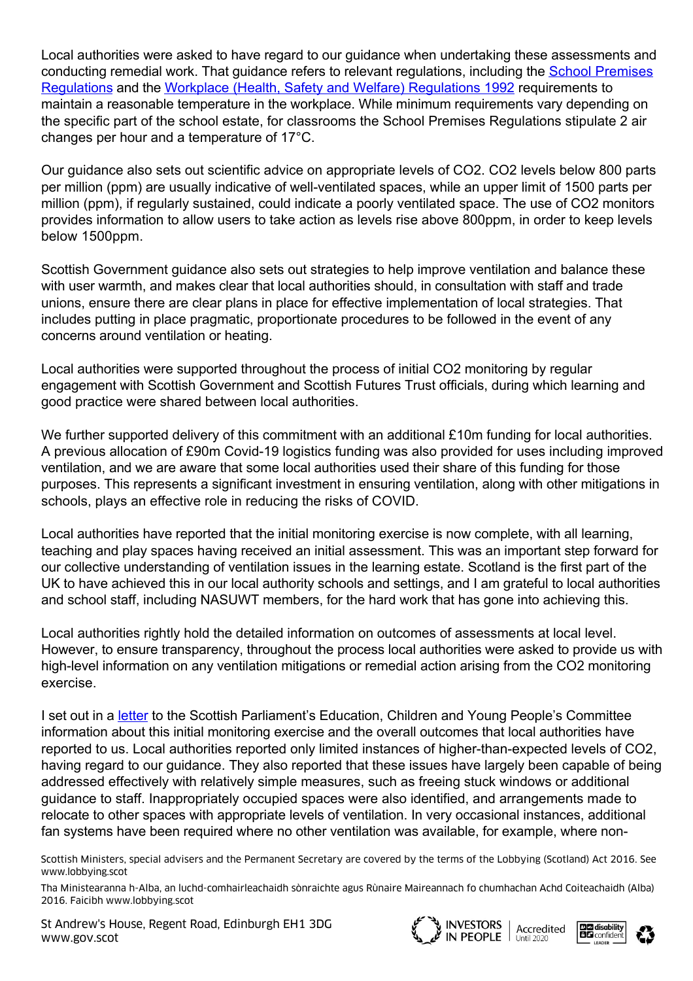Local authorities were asked to have regard to our guidance when undertaking these assessments and [conducting remedial work. That guidance refers to relevant regulations, including the School Premises](https://www.legislation.gov.uk/uksi?title=School%20Premises%20%28General%20Requirements%20and%20Standards%29%20%28Scotland%29%20Regulations) Regulations and the [Workplace \(Health, Safety and Welfare\) Regulations 1992](https://www.legislation.gov.uk/uksi/1992/3004/contents/made) requirements to maintain a reasonable temperature in the workplace. While minimum requirements vary depending on the specific part of the school estate, for classrooms the School Premises Regulations stipulate 2 air changes per hour and a temperature of 17°C.

Our guidance also sets out scientific advice on appropriate levels of CO2. CO2 levels below 800 parts per million (ppm) are usually indicative of well-ventilated spaces, while an upper limit of 1500 parts per million (ppm), if regularly sustained, could indicate a poorly ventilated space. The use of CO2 monitors provides information to allow users to take action as levels rise above 800ppm, in order to keep levels below 1500ppm.

Scottish Government guidance also sets out strategies to help improve ventilation and balance these with user warmth, and makes clear that local authorities should, in consultation with staff and trade unions, ensure there are clear plans in place for effective implementation of local strategies. That includes putting in place pragmatic, proportionate procedures to be followed in the event of any concerns around ventilation or heating.

Local authorities were supported throughout the process of initial CO2 monitoring by regular engagement with Scottish Government and Scottish Futures Trust officials, during which learning and good practice were shared between local authorities.

We further supported delivery of this commitment with an additional £10m funding for local authorities. A previous allocation of £90m Covid-19 logistics funding was also provided for uses including improved ventilation, and we are aware that some local authorities used their share of this funding for those purposes. This represents a significant investment in ensuring ventilation, along with other mitigations in schools, plays an effective role in reducing the risks of COVID.

Local authorities have reported that the initial monitoring exercise is now complete, with all learning, teaching and play spaces having received an initial assessment. This was an important step forward for our collective understanding of ventilation issues in the learning estate. Scotland is the first part of the UK to have achieved this in our local authority schools and settings, and I am grateful to local authorities and school staff, including NASUWT members, for the hard work that has gone into achieving this.

Local authorities rightly hold the detailed information on outcomes of assessments at local level. However, to ensure transparency, throughout the process local authorities were asked to provide us with high-level information on any ventilation mitigations or remedial action arising from the CO2 monitoring exercise.

I set out in a [letter](https://www.parliament.scot/chamber-and-committees/committees/current-and-previous-committees/session-6-education-children-and-young-people-committee/correspondence/2021/learning-estate-co2-monitoring) to the Scottish Parliament's Education, Children and Young People's Committee information about this initial monitoring exercise and the overall outcomes that local authorities have reported to us. Local authorities reported only limited instances of higher-than-expected levels of CO2, having regard to our guidance. They also reported that these issues have largely been capable of being addressed effectively with relatively simple measures, such as freeing stuck windows or additional guidance to staff. Inappropriately occupied spaces were also identified, and arrangements made to relocate to other spaces with appropriate levels of ventilation. In very occasional instances, additional fan systems have been required where no other ventilation was available, for example, where non-

Scottish Ministers, special advisers and the Permanent Secretary are covered by the terms of the Lobbying (Scotland) Act 2016. See www.lobbying.scot

Tha Ministearanna h-Alba, an luchd-comhairleachaidh sònraichte agus Rùnaire Maireannach fo chumhachan Achd Coiteachaidh (Alba) 2016. Faicibh www.lobbying.scot

St Andrew's House, Regent Road, Edinburgh EH1 3DG www.gov.scot